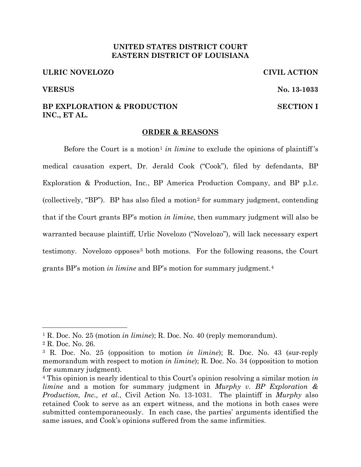# **UNITED STATES DISTRICT COURT EASTERN DISTRICT OF LOUISIANA**

### **ULRIC NOVELOZO CIVIL ACTION**

# **BP EXPLORATION & PRODUCTION SECTION I INC., ET AL.**

# **ORDER & REASONS**

Before the Court is a motion<sup>1</sup> *in limine* to exclude the opinions of plaintiff's medical causation expert, Dr. Jerald Cook ("Cook"), filed by defendants, BP Exploration & Production, Inc., BP America Production Company, and BP p.l.c. (collectively, "BP"). BP has also filed a motion2 for summary judgment, contending that if the Court grants BP's motion *in limine*, then summary judgment will also be warranted because plaintiff, Urlic Novelozo ("Novelozo"), will lack necessary expert testimony. Novelozo opposes<sup>3</sup> both motions. For the following reasons, the Court grants BP's motion *in limine* and BP's motion for summary judgment.4

**VERSUS No. 13-1033** 

<sup>1</sup> R. Doc. No. 25 (motion *in limine*); R. Doc. No. 40 (reply memorandum).

<sup>2</sup> R. Doc. No. 26.

<sup>3</sup> R. Doc. No. 25 (opposition to motion *in limine*); R. Doc. No. 43 (sur-reply memorandum with respect to motion *in limine*); R. Doc. No. 34 (opposition to motion for summary judgment).

<sup>4</sup> This opinion is nearly identical to this Court's opinion resolving a similar motion *in limine* and a motion for summary judgment in *Murphy v. BP Exploration & Production, Inc., et al.*, Civil Action No. 13-1031. The plaintiff in *Murphy* also retained Cook to serve as an expert witness, and the motions in both cases were submitted contemporaneously. In each case, the parties' arguments identified the same issues, and Cook's opinions suffered from the same infirmities.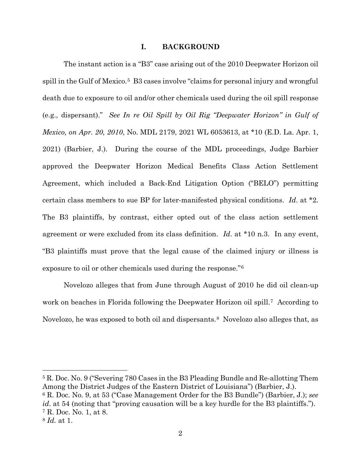#### **I. BACKGROUND**

The instant action is a "B3" case arising out of the 2010 Deepwater Horizon oil spill in the Gulf of Mexico.<sup>5</sup> B3 cases involve "claims for personal injury and wrongful death due to exposure to oil and/or other chemicals used during the oil spill response (e.g., dispersant)." *See In re Oil Spill by Oil Rig "Deepwater Horizon" in Gulf of Mexico, on Apr. 20, 2010*, No. MDL 2179, 2021 WL 6053613, at \*10 (E.D. La. Apr. 1, 2021) (Barbier, J.). During the course of the MDL proceedings, Judge Barbier approved the Deepwater Horizon Medical Benefits Class Action Settlement Agreement, which included a Back-End Litigation Option ("BELO") permitting certain class members to sue BP for later-manifested physical conditions. *Id*. at \*2. The B3 plaintiffs, by contrast, either opted out of the class action settlement agreement or were excluded from its class definition. *Id*. at \*10 n.3. In any event, "B3 plaintiffs must prove that the legal cause of the claimed injury or illness is exposure to oil or other chemicals used during the response."6

Novelozo alleges that from June through August of 2010 he did oil clean-up work on beaches in Florida following the Deepwater Horizon oil spill.<sup>7</sup> According to Novelozo, he was exposed to both oil and dispersants.<sup>8</sup> Novelozo also alleges that, as

<sup>5</sup> R. Doc. No. 9 ("Severing 780 Cases in the B3 Pleading Bundle and Re-allotting Them Among the District Judges of the Eastern District of Louisiana") (Barbier, J.). 6 R. Doc. No. 9, at 53 ("Case Management Order for the B3 Bundle") (Barbier, J.); *see* 

*id*. at 54 (noting that "proving causation will be a key hurdle for the B3 plaintiffs."). <sup>7</sup> R. Doc. No. 1, at 8.

<sup>8</sup> *Id.* at 1.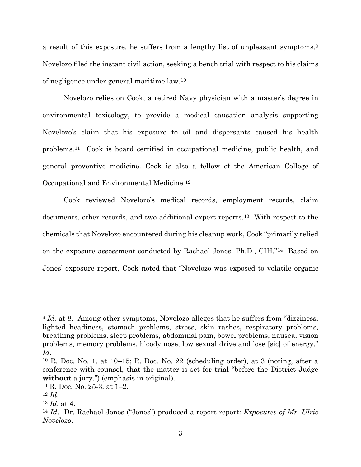a result of this exposure, he suffers from a lengthy list of unpleasant symptoms.9 Novelozo filed the instant civil action, seeking a bench trial with respect to his claims of negligence under general maritime law.10

Novelozo relies on Cook, a retired Navy physician with a master's degree in environmental toxicology, to provide a medical causation analysis supporting Novelozo's claim that his exposure to oil and dispersants caused his health problems.11 Cook is board certified in occupational medicine, public health, and general preventive medicine. Cook is also a fellow of the American College of Occupational and Environmental Medicine.12

Cook reviewed Novelozo's medical records, employment records, claim documents, other records, and two additional expert reports.13 With respect to the chemicals that Novelozo encountered during his cleanup work, Cook "primarily relied on the exposure assessment conducted by Rachael Jones, Ph.D., CIH."14 Based on Jones' exposure report, Cook noted that "Novelozo was exposed to volatile organic

<sup>&</sup>lt;sup>9</sup> *Id.* at 8. Among other symptoms, Novelozo alleges that he suffers from "dizziness, lighted headiness, stomach problems, stress, skin rashes, respiratory problems, breathing problems, sleep problems, abdominal pain, bowel problems, nausea, vision problems, memory problems, bloody nose, low sexual drive and lose [sic] of energy." *Id.*<br><sup>10</sup> R. Doc. No. 1, at 10–15; R. Doc. No. 22 (scheduling order), at 3 (noting, after a

conference with counsel, that the matter is set for trial "before the District Judge **without** a jury.") (emphasis in original).

<sup>11</sup> R. Doc. No. 25-3, at 1–2. 12 *Id*. 13 *Id*. at 4.

<sup>14</sup> *Id*. Dr. Rachael Jones ("Jones") produced a report report: *Exposures of Mr. Ulric Novelozo*.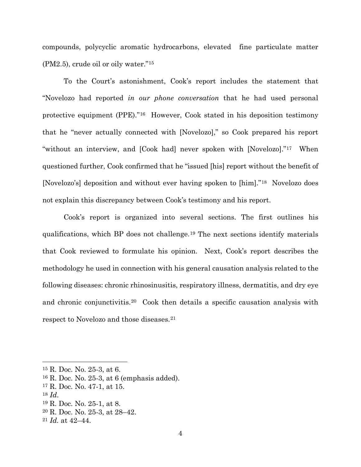compounds, polycyclic aromatic hydrocarbons, elevated fine particulate matter (PM2.5), crude oil or oily water."15

To the Court's astonishment, Cook's report includes the statement that "Novelozo had reported *in our phone conversation* that he had used personal protective equipment (PPE)."16 However, Cook stated in his deposition testimony that he "never actually connected with [Novelozo]," so Cook prepared his report "without an interview, and [Cook had] never spoken with [Novelozo]."17 When questioned further, Cook confirmed that he "issued [his] report without the benefit of [Novelozo's] deposition and without ever having spoken to [him]."18 Novelozo does not explain this discrepancy between Cook's testimony and his report.

Cook's report is organized into several sections. The first outlines his qualifications, which BP does not challenge.19 The next sections identify materials that Cook reviewed to formulate his opinion. Next, Cook's report describes the methodology he used in connection with his general causation analysis related to the following diseases: chronic rhinosinusitis, respiratory illness, dermatitis, and dry eye and chronic conjunctivitis.20 Cook then details a specific causation analysis with respect to Novelozo and those diseases.21

<sup>15</sup> R. Doc. No. 25-3, at 6.

<sup>&</sup>lt;sup>16</sup> R. Doc. No. 25-3, at 6 (emphasis added).<br><sup>17</sup> R. Doc. No. 47-1, at 15.<br><sup>18</sup> *Id*. <sup>19</sup> R. Doc. No. 25-1, at 8.

<sup>20</sup> R. Doc. No. 25-3, at 28–42.

<sup>21</sup> *Id.* at 42–44.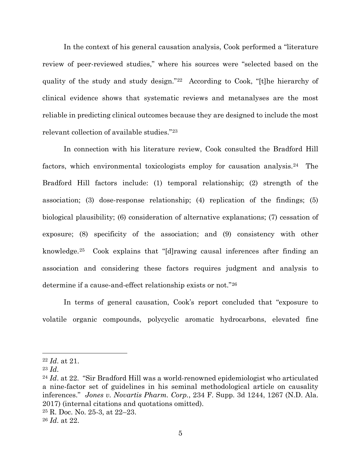In the context of his general causation analysis, Cook performed a "literature review of peer-reviewed studies," where his sources were "selected based on the quality of the study and study design."22 According to Cook, "[t]he hierarchy of clinical evidence shows that systematic reviews and metanalyses are the most reliable in predicting clinical outcomes because they are designed to include the most relevant collection of available studies."23

In connection with his literature review, Cook consulted the Bradford Hill factors, which environmental toxicologists employ for causation analysis.24 The Bradford Hill factors include: (1) temporal relationship; (2) strength of the association; (3) dose-response relationship; (4) replication of the findings; (5) biological plausibility; (6) consideration of alternative explanations; (7) cessation of exposure; (8) specificity of the association; and (9) consistency with other knowledge.25 Cook explains that "[d]rawing causal inferences after finding an association and considering these factors requires judgment and analysis to determine if a cause-and-effect relationship exists or not."26

In terms of general causation, Cook's report concluded that "exposure to volatile organic compounds, polycyclic aromatic hydrocarbons, elevated fine

<sup>25</sup> R. Doc. No. 25-3, at 22–23. 26 *Id*. at 22.

<sup>22</sup> *Id*. at 21. 23 *Id*. 24 *Id*. at 22. "Sir Bradford Hill was a world-renowned epidemiologist who articulated a nine-factor set of guidelines in his seminal methodological article on causality inferences." *Jones v. Novartis Pharm. Corp.*, 234 F. Supp. 3d 1244, 1267 (N.D. Ala. 2017) (internal citations and quotations omitted).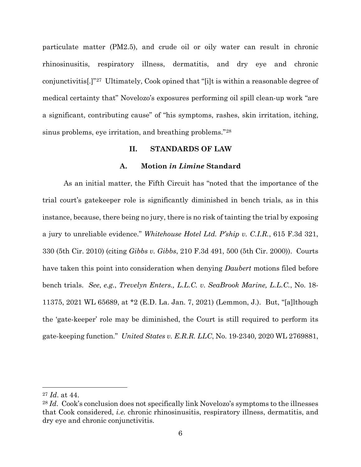particulate matter (PM2.5), and crude oil or oily water can result in chronic rhinosinusitis, respiratory illness, dermatitis, and dry eye and chronic conjunctivitis[.]"27 Ultimately, Cook opined that "[i]t is within a reasonable degree of medical certainty that" Novelozo's exposures performing oil spill clean-up work "are a significant, contributing cause" of "his symptoms, rashes, skin irritation, itching, sinus problems, eye irritation, and breathing problems."28

# **II. STANDARDS OF LAW**

## **A. Motion** *in Limine* **Standard**

As an initial matter, the Fifth Circuit has "noted that the importance of the trial court's gatekeeper role is significantly diminished in bench trials, as in this instance, because, there being no jury, there is no risk of tainting the trial by exposing a jury to unreliable evidence." *Whitehouse Hotel Ltd. P'ship v. C.I.R.*, 615 F.3d 321, 330 (5th Cir. 2010) (citing *Gibbs v. Gibbs*, 210 F.3d 491, 500 (5th Cir. 2000)). Courts have taken this point into consideration when denying *Daubert* motions filed before bench trials. *See*, *e.g.*, *Trevelyn Enters., L.L.C. v. SeaBrook Marine, L.L.C.*, No. 18- 11375, 2021 WL 65689, at \*2 (E.D. La. Jan. 7, 2021) (Lemmon, J.). But, "[a]lthough the 'gate-keeper' role may be diminished, the Court is still required to perform its gate-keeping function." *United States v. E.R.R. LLC*, No. 19-2340, 2020 WL 2769881,

<sup>27</sup> *Id*. at 44.

<sup>&</sup>lt;sup>28</sup> *Id.* Cook's conclusion does not specifically link Novelozo's symptoms to the illnesses that Cook considered, *i.e.* chronic rhinosinusitis, respiratory illness, dermatitis, and dry eye and chronic conjunctivitis.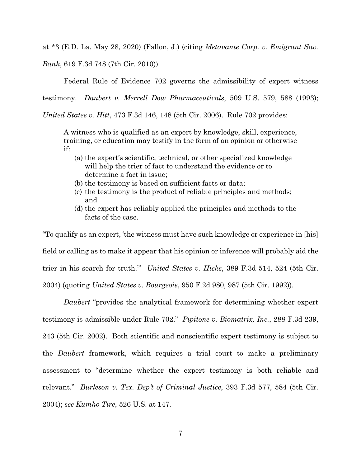at \*3 (E.D. La. May 28, 2020) (Fallon, J.) (citing *Metavante Corp. v. Emigrant Sav. Bank*, 619 F.3d 748 (7th Cir. 2010)).

Federal Rule of Evidence 702 governs the admissibility of expert witness testimony. *Daubert v. Merrell Dow Pharmaceuticals*, 509 U.S. 579, 588 (1993);

*United States v. Hitt*, 473 F.3d 146, 148 (5th Cir. 2006). Rule 702 provides:

A witness who is qualified as an expert by knowledge, skill, experience, training, or education may testify in the form of an opinion or otherwise if:

- (a) the expert's scientific, technical, or other specialized knowledge will help the trier of fact to understand the evidence or to determine a fact in issue;
- (b) the testimony is based on sufficient facts or data;
- (c) the testimony is the product of reliable principles and methods; and
- (d) the expert has reliably applied the principles and methods to the facts of the case.

"To qualify as an expert, 'the witness must have such knowledge or experience in [his] field or calling as to make it appear that his opinion or inference will probably aid the trier in his search for truth.'" *United States v. Hicks*, 389 F.3d 514, 524 (5th Cir. 2004) (quoting *United States v. Bourgeois*, 950 F.2d 980, 987 (5th Cir. 1992)).

*Daubert* "provides the analytical framework for determining whether expert testimony is admissible under Rule 702." *Pipitone v. Biomatrix, Inc.*, 288 F.3d 239, 243 (5th Cir. 2002). Both scientific and nonscientific expert testimony is subject to the *Daubert* framework, which requires a trial court to make a preliminary assessment to "determine whether the expert testimony is both reliable and relevant." *Burleson v. Tex. Dep't of Criminal Justice*, 393 F.3d 577, 584 (5th Cir. 2004); *see Kumho Tire*, 526 U.S. at 147.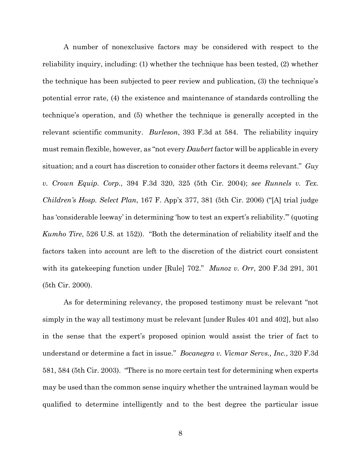A number of nonexclusive factors may be considered with respect to the reliability inquiry, including: (1) whether the technique has been tested, (2) whether the technique has been subjected to peer review and publication, (3) the technique's potential error rate, (4) the existence and maintenance of standards controlling the technique's operation, and (5) whether the technique is generally accepted in the relevant scientific community. *Burleson*, 393 F.3d at 584. The reliability inquiry must remain flexible, however, as "not every *Daubert* factor will be applicable in every situation; and a court has discretion to consider other factors it deems relevant." *Guy v. Crown Equip. Corp.*, 394 F.3d 320, 325 (5th Cir. 2004); *see Runnels v. Tex. Children's Hosp. Select Plan*, 167 F. App'x 377, 381 (5th Cir. 2006) ("[A] trial judge has 'considerable leeway' in determining 'how to test an expert's reliability.'" (quoting *Kumho Tire*, 526 U.S. at 152)). "Both the determination of reliability itself and the factors taken into account are left to the discretion of the district court consistent with its gatekeeping function under [Rule] 702." *Munoz v. Orr*, 200 F.3d 291, 301 (5th Cir. 2000).

As for determining relevancy, the proposed testimony must be relevant "not simply in the way all testimony must be relevant [under Rules 401 and 402], but also in the sense that the expert's proposed opinion would assist the trier of fact to understand or determine a fact in issue." *Bocanegra v. Vicmar Servs., Inc.*, 320 F.3d 581, 584 (5th Cir. 2003). "There is no more certain test for determining when experts may be used than the common sense inquiry whether the untrained layman would be qualified to determine intelligently and to the best degree the particular issue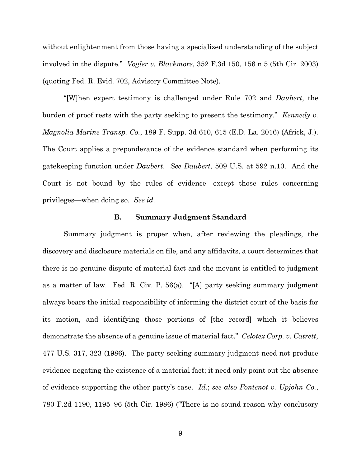without enlightenment from those having a specialized understanding of the subject involved in the dispute." *Vogler v. Blackmore*, 352 F.3d 150, 156 n.5 (5th Cir. 2003) (quoting Fed. R. Evid. 702, Advisory Committee Note).

"[W]hen expert testimony is challenged under Rule 702 and *Daubert*, the burden of proof rests with the party seeking to present the testimony." *Kennedy v. Magnolia Marine Transp. Co.*, 189 F. Supp. 3d 610, 615 (E.D. La. 2016) (Africk, J.). The Court applies a preponderance of the evidence standard when performing its gatekeeping function under *Daubert*. *See Daubert*, 509 U.S. at 592 n.10. And the Court is not bound by the rules of evidence—except those rules concerning privileges—when doing so. *See id.*

#### **B. Summary Judgment Standard**

Summary judgment is proper when, after reviewing the pleadings, the discovery and disclosure materials on file, and any affidavits, a court determines that there is no genuine dispute of material fact and the movant is entitled to judgment as a matter of law. Fed. R. Civ. P. 56(a). "[A] party seeking summary judgment always bears the initial responsibility of informing the district court of the basis for its motion, and identifying those portions of [the record] which it believes demonstrate the absence of a genuine issue of material fact." *Celotex Corp. v. Catrett*, 477 U.S. 317, 323 (1986). The party seeking summary judgment need not produce evidence negating the existence of a material fact; it need only point out the absence of evidence supporting the other party's case. *Id.*; *see also Fontenot v. Upjohn Co.*, 780 F.2d 1190, 1195–96 (5th Cir. 1986) ("There is no sound reason why conclusory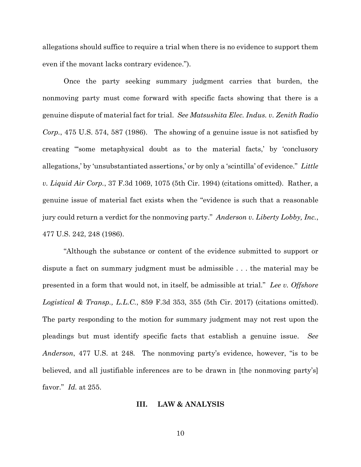allegations should suffice to require a trial when there is no evidence to support them even if the movant lacks contrary evidence.").

Once the party seeking summary judgment carries that burden, the nonmoving party must come forward with specific facts showing that there is a genuine dispute of material fact for trial. *See Matsushita Elec. Indus. v. Zenith Radio Corp.*, 475 U.S. 574, 587 (1986). The showing of a genuine issue is not satisfied by creating "'some metaphysical doubt as to the material facts,' by 'conclusory allegations,' by 'unsubstantiated assertions,' or by only a 'scintilla' of evidence." *Little v. Liquid Air Corp.*, 37 F.3d 1069, 1075 (5th Cir. 1994) (citations omitted). Rather, a genuine issue of material fact exists when the "evidence is such that a reasonable jury could return a verdict for the nonmoving party." *Anderson v. Liberty Lobby, Inc.*, 477 U.S. 242, 248 (1986).

"Although the substance or content of the evidence submitted to support or dispute a fact on summary judgment must be admissible . . . the material may be presented in a form that would not, in itself, be admissible at trial." *Lee v. Offshore Logistical & Transp., L.L.C.*, 859 F.3d 353, 355 (5th Cir. 2017) (citations omitted). The party responding to the motion for summary judgment may not rest upon the pleadings but must identify specific facts that establish a genuine issue. *See Anderson*, 477 U.S. at 248*.* The nonmoving party's evidence, however, "is to be believed, and all justifiable inferences are to be drawn in [the nonmoving party's] favor." *Id.* at 255.

# **III. LAW & ANALYSIS**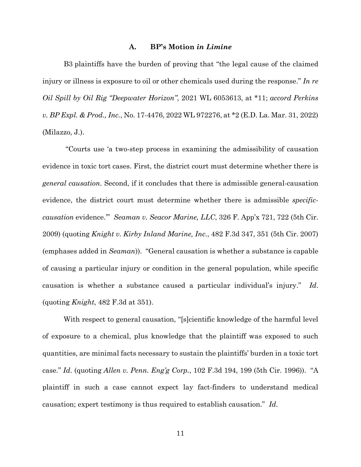#### **A. BP's Motion** *in Limine*

B3 plaintiffs have the burden of proving that "the legal cause of the claimed injury or illness is exposure to oil or other chemicals used during the response." *In re Oil Spill by Oil Rig "Deepwater Horizon"*, 2021 WL 6053613, at \*11; *accord Perkins v. BP Expl. & Prod., Inc.*, No. 17-4476, 2022 WL 972276, at \*2 (E.D. La. Mar. 31, 2022) (Milazzo, J.).

"Courts use 'a two-step process in examining the admissibility of causation evidence in toxic tort cases. First, the district court must determine whether there is *general causation*. Second, if it concludes that there is admissible general-causation evidence, the district court must determine whether there is admissible *specificcausation* evidence.'" *Seaman v. Seacor Marine, LLC*, 326 F. App'x 721, 722 (5th Cir. 2009) (quoting *Knight v. Kirby Inland Marine, Inc.*, 482 F.3d 347, 351 (5th Cir. 2007) (emphases added in *Seaman*)). "General causation is whether a substance is capable of causing a particular injury or condition in the general population, while specific causation is whether a substance caused a particular individual's injury." *Id*. (quoting *Knight*, 482 F.3d at 351).

With respect to general causation, "[s]cientific knowledge of the harmful level of exposure to a chemical, plus knowledge that the plaintiff was exposed to such quantities, are minimal facts necessary to sustain the plaintiffs' burden in a toxic tort case." *Id*. (quoting *Allen v. Penn. Eng'g Corp.*, 102 F.3d 194, 199 (5th Cir. 1996)). "A plaintiff in such a case cannot expect lay fact-finders to understand medical causation; expert testimony is thus required to establish causation." *Id*.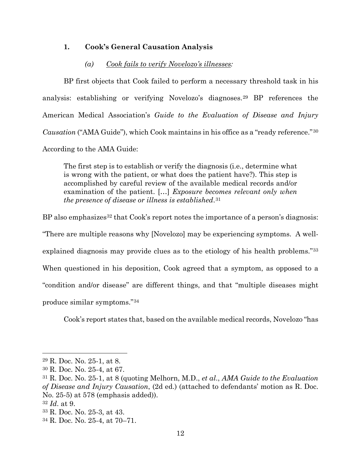# **1. Cook's General Causation Analysis**

#### *(a) Cook fails to verify Novelozo's illnesses:*

BP first objects that Cook failed to perform a necessary threshold task in his analysis: establishing or verifying Novelozo's diagnoses.29 BP references the American Medical Association's *Guide to the Evaluation of Disease and Injury Causation* ("AMA Guide"), which Cook maintains in his office as a "ready reference."30 According to the AMA Guide:

The first step is to establish or verify the diagnosis (i.e., determine what is wrong with the patient, or what does the patient have?). This step is accomplished by careful review of the available medical records and/or examination of the patient. […] *Exposure becomes relevant only when the presence of disease or illness is established*.31

BP also emphasizes<sup>32</sup> that Cook's report notes the importance of a person's diagnosis: "There are multiple reasons why [Novelozo] may be experiencing symptoms. A wellexplained diagnosis may provide clues as to the etiology of his health problems."33 When questioned in his deposition, Cook agreed that a symptom, as opposed to a "condition and/or disease" are different things, and that "multiple diseases might produce similar symptoms."34

Cook's report states that, based on the available medical records, Novelozo "has

<sup>29</sup> R. Doc. No. 25-1, at 8.

<sup>30</sup> R. Doc. No. 25-4, at 67. 31 R. Doc. No. 25-1, at 8 (quoting Melhorn, M.D., *et al*., *AMA Guide to the Evaluation of Disease and Injury Causation*, (2d ed.) (attached to defendants' motion as R. Doc. No. 25-5) at 578 (emphasis added)).

<sup>32</sup> *Id*. at 9.

<sup>33</sup> R. Doc. No. 25-3, at 43.

<sup>34</sup> R. Doc. No. 25-4, at 70–71.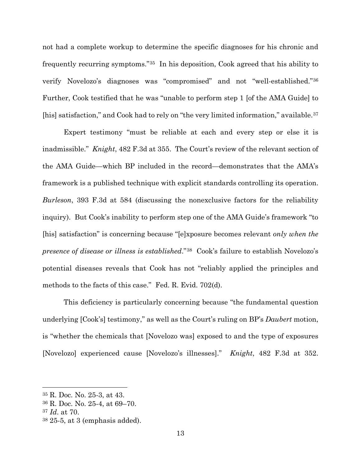not had a complete workup to determine the specific diagnoses for his chronic and frequently recurring symptoms."35 In his deposition, Cook agreed that his ability to verify Novelozo's diagnoses was "compromised" and not "well-established."36 Further, Cook testified that he was "unable to perform step 1 [of the AMA Guide] to [his] satisfaction," and Cook had to rely on "the very limited information," available.37

Expert testimony "must be reliable at each and every step or else it is inadmissible." *Knight*, 482 F.3d at 355. The Court's review of the relevant section of the AMA Guide—which BP included in the record—demonstrates that the AMA's framework is a published technique with explicit standards controlling its operation. *Burleson*, 393 F.3d at 584 (discussing the nonexclusive factors for the reliability inquiry). But Cook's inability to perform step one of the AMA Guide's framework "to [his] satisfaction" is concerning because "[e]xposure becomes relevant *only when the presence of disease or illness is established*."38 Cook's failure to establish Novelozo's potential diseases reveals that Cook has not "reliably applied the principles and methods to the facts of this case." Fed. R. Evid. 702(d).

This deficiency is particularly concerning because "the fundamental question underlying [Cook's] testimony," as well as the Court's ruling on BP's *Daubert* motion, is "whether the chemicals that [Novelozo was] exposed to and the type of exposures [Novelozo] experienced cause [Novelozo's illnesses]." *Knight*, 482 F.3d at 352.

<sup>35</sup> R. Doc. No. 25-3, at 43.

<sup>36</sup> R. Doc. No. 25-4, at 69–70.

<sup>37</sup> *Id*. at 70.

 $38\,25.5$ , at 3 (emphasis added).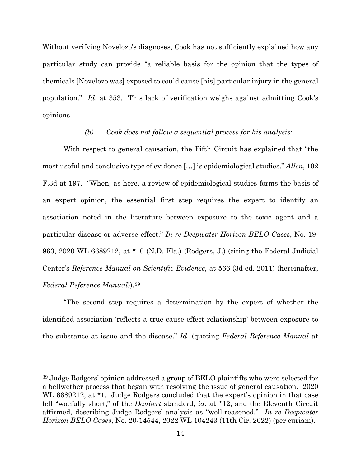Without verifying Novelozo's diagnoses, Cook has not sufficiently explained how any particular study can provide "a reliable basis for the opinion that the types of chemicals [Novelozo was] exposed to could cause [his] particular injury in the general population." *Id*. at 353. This lack of verification weighs against admitting Cook's opinions.

#### *(b) Cook does not follow a sequential process for his analysis:*

With respect to general causation, the Fifth Circuit has explained that "the most useful and conclusive type of evidence […] is epidemiological studies." *Allen*, 102 F.3d at 197. "When, as here, a review of epidemiological studies forms the basis of an expert opinion, the essential first step requires the expert to identify an association noted in the literature between exposure to the toxic agent and a particular disease or adverse effect." *In re Deepwater Horizon BELO Cases*, No. 19- 963, 2020 WL 6689212, at \*10 (N.D. Fla.) (Rodgers, J.) (citing the Federal Judicial Center's *Reference Manual on Scientific Evidence*, at 566 (3d ed. 2011) (hereinafter, *Federal Reference Manual*)).39

"The second step requires a determination by the expert of whether the identified association 'reflects a true cause-effect relationship' between exposure to the substance at issue and the disease." *Id*. (quoting *Federal Reference Manual* at

<sup>39</sup> Judge Rodgers' opinion addressed a group of BELO plaintiffs who were selected for a bellwether process that began with resolving the issue of general causation. 2020 WL 6689212, at \*1. Judge Rodgers concluded that the expert's opinion in that case fell "woefully short," of the *Daubert* standard, *id*. at \*12, and the Eleventh Circuit affirmed, describing Judge Rodgers' analysis as "well-reasoned." *In re Deepwater Horizon BELO Cases*, No. 20-14544, 2022 WL 104243 (11th Cir. 2022) (per curiam).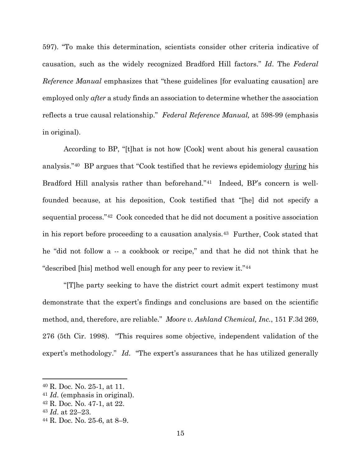597). "To make this determination, scientists consider other criteria indicative of causation, such as the widely recognized Bradford Hill factors." *Id*. The *Federal Reference Manual* emphasizes that "these guidelines [for evaluating causation] are employed only *after* a study finds an association to determine whether the association reflects a true causal relationship." *Federal Reference Manual,* at 598-99 (emphasis in original).

According to BP, "[t]hat is not how [Cook] went about his general causation analysis."40 BP argues that "Cook testified that he reviews epidemiology during his Bradford Hill analysis rather than beforehand."41 Indeed, BP's concern is wellfounded because, at his deposition, Cook testified that "[he] did not specify a sequential process."42 Cook conceded that he did not document a positive association in his report before proceeding to a causation analysis.43 Further, Cook stated that he "did not follow a -- a cookbook or recipe," and that he did not think that he "described [his] method well enough for any peer to review it."44

 "[T]he party seeking to have the district court admit expert testimony must demonstrate that the expert's findings and conclusions are based on the scientific method, and, therefore, are reliable." *Moore v. Ashland Chemical, Inc.*, 151 F.3d 269, 276 (5th Cir. 1998). "This requires some objective, independent validation of the expert's methodology." *Id*. "The expert's assurances that he has utilized generally

<sup>40</sup> R. Doc. No. 25-1, at 11.

<sup>41</sup> *Id*. (emphasis in original).

<sup>42</sup> R. Doc. No. 47-1, at 22.

<sup>43</sup> *Id*. at 22–23. 44 R. Doc. No. 25-6, at 8–9.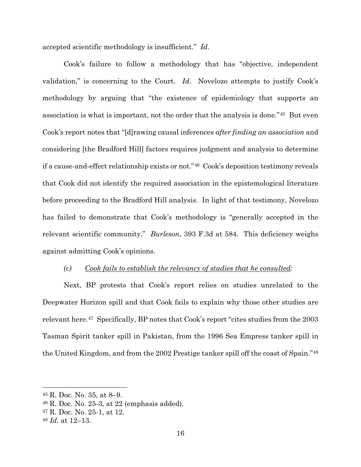accepted scientific methodology is insufficient." *Id*.

Cook's failure to follow a methodology that has "objective, independent validation," is concerning to the Court. *Id*. Novelozo attempts to justify Cook's methodology by arguing that "the existence of epidemiology that supports an association is what is important, not the order that the analysis is done."45 But even Cook's report notes that "[d]rawing causal inferences *after finding an association* and considering [the Bradford Hill] factors requires judgment and analysis to determine if a cause-and-effect relationship exists or not."46 Cook's deposition testimony reveals that Cook did not identify the required association in the epistemological literature before proceeding to the Bradford Hill analysis. In light of that testimony, Novelozo has failed to demonstrate that Cook's methodology is "generally accepted in the relevant scientific community." *Burleson*, 393 F.3d at 584. This deficiency weighs against admitting Cook's opinions.

#### *(c) Cook fails to establish the relevancy of studies that he consulted:*

Next, BP protests that Cook's report relies on studies unrelated to the Deepwater Horizon spill and that Cook fails to explain why those other studies are relevant here.47 Specifically, BP notes that Cook's report "cites studies from the 2003 Tasman Spirit tanker spill in Pakistan, from the 1996 Sea Empress tanker spill in the United Kingdom, and from the 2002 Prestige tanker spill off the coast of Spain."48

<sup>45</sup> R. Doc. No. 35, at 8–9.

<sup>46</sup> R. Doc. No. 25-3, at 22 (emphasis added).

<sup>47</sup> R. Doc. No. 25-1, at 12.

<sup>48</sup> *Id*. at 12–13.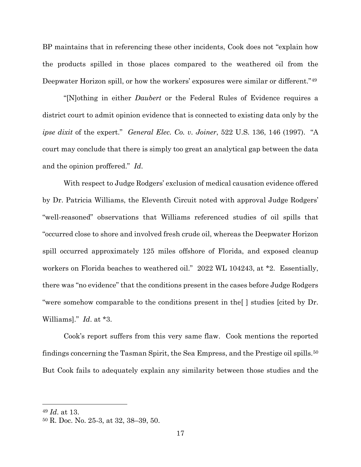BP maintains that in referencing these other incidents, Cook does not "explain how the products spilled in those places compared to the weathered oil from the Deepwater Horizon spill, or how the workers' exposures were similar or different."49

"[N]othing in either *Daubert* or the Federal Rules of Evidence requires a district court to admit opinion evidence that is connected to existing data only by the *ipse dixit* of the expert." *General Elec. Co. v. Joiner*, 522 U.S. 136, 146 (1997). "A court may conclude that there is simply too great an analytical gap between the data and the opinion proffered." *Id*.

With respect to Judge Rodgers' exclusion of medical causation evidence offered by Dr. Patricia Williams, the Eleventh Circuit noted with approval Judge Rodgers' "well-reasoned" observations that Williams referenced studies of oil spills that "occurred close to shore and involved fresh crude oil, whereas the Deepwater Horizon spill occurred approximately 125 miles offshore of Florida, and exposed cleanup workers on Florida beaches to weathered oil." 2022 WL 104243, at \*2. Essentially, there was "no evidence" that the conditions present in the cases before Judge Rodgers "were somehow comparable to the conditions present in the[ ] studies [cited by Dr. Williams]." *Id*. at \*3.

Cook's report suffers from this very same flaw. Cook mentions the reported findings concerning the Tasman Spirit, the Sea Empress, and the Prestige oil spills.50 But Cook fails to adequately explain any similarity between those studies and the

<sup>49</sup> *Id*. at 13.

<sup>50</sup> R. Doc. No. 25-3, at 32, 38–39, 50.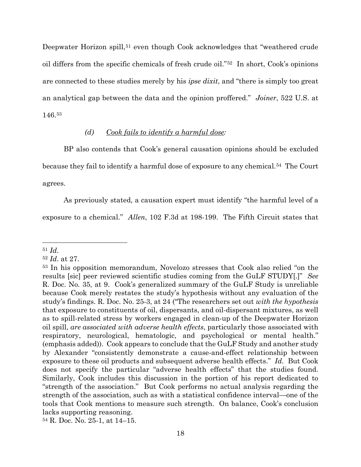Deepwater Horizon spill,<sup>51</sup> even though Cook acknowledges that "weathered crude oil differs from the specific chemicals of fresh crude oil."52 In short, Cook's opinions are connected to these studies merely by his *ipse dixit*, and "there is simply too great an analytical gap between the data and the opinion proffered." *Joiner*, 522 U.S. at 146.53

# *(d) Cook fails to identify a harmful dose:*

BP also contends that Cook's general causation opinions should be excluded because they fail to identify a harmful dose of exposure to any chemical.54 The Court agrees.

As previously stated, a causation expert must identify "the harmful level of a

exposure to a chemical." *Allen*, 102 F.3d at 198-199. The Fifth Circuit states that

<sup>51</sup> *Id*. 52 *Id*. at 27.

<sup>53</sup> In his opposition memorandum, Novelozo stresses that Cook also relied "on the results [sic] peer reviewed scientific studies coming from the GuLF STUDY[.]" *See* R. Doc. No. 35, at 9. Cook's generalized summary of the GuLF Study is unreliable because Cook merely restates the study's hypothesis without any evaluation of the study's findings. R. Doc. No. 25-3, at 24 ("The researchers set out *with the hypothesis* that exposure to constituents of oil, dispersants, and oil-dispersant mixtures, as well as to spill-related stress by workers engaged in clean-up of the Deepwater Horizon oil spill, *are associated with adverse health effects*, particularly those associated with respiratory, neurological, hematologic, and psychological or mental health." (emphasis added)). Cook appears to conclude that the GuLF Study and another study by Alexander "consistently demonstrate a cause-and-effect relationship between exposure to these oil products and subsequent adverse health effects." *Id*. But Cook does not specify the particular "adverse health effects" that the studies found. Similarly, Cook includes this discussion in the portion of his report dedicated to "strength of the association." But Cook performs no actual analysis regarding the strength of the association, such as with a statistical confidence interval—one of the tools that Cook mentions to measure such strength. On balance, Cook's conclusion lacks supporting reasoning.

<sup>54</sup> R. Doc. No. 25-1, at 14–15.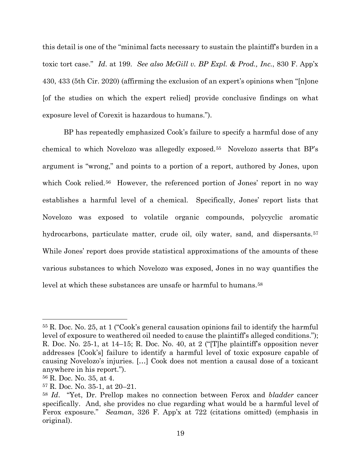this detail is one of the "minimal facts necessary to sustain the plaintiff's burden in a toxic tort case." *Id*. at 199. *See also McGill v. BP Expl. & Prod., Inc.*, 830 F. App'x 430, 433 (5th Cir. 2020) (affirming the exclusion of an expert's opinions when "[n]one [of the studies on which the expert relied] provide conclusive findings on what exposure level of Corexit is hazardous to humans.").

BP has repeatedly emphasized Cook's failure to specify a harmful dose of any chemical to which Novelozo was allegedly exposed.55 Novelozo asserts that BP's argument is "wrong," and points to a portion of a report, authored by Jones, upon which Cook relied.<sup>56</sup> However, the referenced portion of Jones' report in no way establishes a harmful level of a chemical. Specifically, Jones' report lists that Novelozo was exposed to volatile organic compounds, polycyclic aromatic hydrocarbons, particulate matter, crude oil, oily water, sand, and dispersants.<sup>57</sup> While Jones' report does provide statistical approximations of the amounts of these various substances to which Novelozo was exposed, Jones in no way quantifies the level at which these substances are unsafe or harmful to humans.<sup>58</sup>

<sup>55</sup> R. Doc. No. 25, at 1 ("Cook's general causation opinions fail to identify the harmful level of exposure to weathered oil needed to cause the plaintiff's alleged conditions."); R. Doc. No. 25-1, at 14–15; R. Doc. No. 40, at 2 ("[T]he plaintiff's opposition never addresses [Cook's] failure to identify a harmful level of toxic exposure capable of causing Novelozo's injuries. […] Cook does not mention a causal dose of a toxicant anywhere in his report.").

<sup>56</sup> R. Doc. No. 35, at 4.

<sup>57</sup> R. Doc. No. 35-1, at 20–21.

<sup>58</sup> *Id*. "Yet, Dr. Prellop makes no connection between Ferox and *bladder* cancer specifically. And, she provides no clue regarding what would be a harmful level of Ferox exposure." *Seaman*, 326 F. App'x at 722 (citations omitted) (emphasis in original).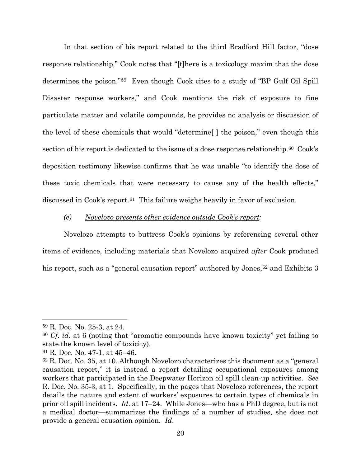In that section of his report related to the third Bradford Hill factor, "dose response relationship," Cook notes that "[t]here is a toxicology maxim that the dose determines the poison."59 Even though Cook cites to a study of "BP Gulf Oil Spill Disaster response workers," and Cook mentions the risk of exposure to fine particulate matter and volatile compounds, he provides no analysis or discussion of the level of these chemicals that would "determine[ ] the poison," even though this section of his report is dedicated to the issue of a dose response relationship.<sup>60</sup> Cook's deposition testimony likewise confirms that he was unable "to identify the dose of these toxic chemicals that were necessary to cause any of the health effects," discussed in Cook's report.61 This failure weighs heavily in favor of exclusion.

#### *(e) Novelozo presents other evidence outside Cook's report:*

 Novelozo attempts to buttress Cook's opinions by referencing several other items of evidence, including materials that Novelozo acquired *after* Cook produced his report, such as a "general causation report" authored by Jones,<sup>62</sup> and Exhibits 3

<sup>59</sup> R. Doc. No. 25-3, at 24. 60 *Cf*. *id*. at 6 (noting that "aromatic compounds have known toxicity" yet failing to state the known level of toxicity).

<sup>61</sup> R. Doc. No. 47-1, at 45–46.

<sup>62</sup> R. Doc. No. 35, at 10. Although Novelozo characterizes this document as a "general causation report," it is instead a report detailing occupational exposures among workers that participated in the Deepwater Horizon oil spill clean-up activities. *See* R. Doc. No. 35-3, at 1. Specifically, in the pages that Novelozo references, the report details the nature and extent of workers' exposures to certain types of chemicals in prior oil spill incidents. *Id*. at 17–24. While Jones—who has a PhD degree, but is not a medical doctor—summarizes the findings of a number of studies, she does not provide a general causation opinion. *Id*.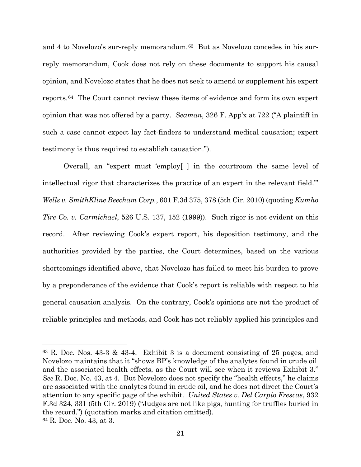and 4 to Novelozo's sur-reply memorandum.<sup>63</sup> But as Novelozo concedes in his surreply memorandum, Cook does not rely on these documents to support his causal opinion, and Novelozo states that he does not seek to amend or supplement his expert reports.64 The Court cannot review these items of evidence and form its own expert opinion that was not offered by a party. *Seaman*, 326 F. App'x at 722 ("A plaintiff in such a case cannot expect lay fact-finders to understand medical causation; expert testimony is thus required to establish causation.").

Overall, an "expert must 'employ[ ] in the courtroom the same level of intellectual rigor that characterizes the practice of an expert in the relevant field.'" *Wells v. SmithKline Beecham Corp.*, 601 F.3d 375, 378 (5th Cir. 2010) (quoting *Kumho Tire Co. v. Carmichael*, 526 U.S. 137, 152 (1999)). Such rigor is not evident on this record. After reviewing Cook's expert report, his deposition testimony, and the authorities provided by the parties, the Court determines, based on the various shortcomings identified above, that Novelozo has failed to meet his burden to prove by a preponderance of the evidence that Cook's report is reliable with respect to his general causation analysis. On the contrary, Cook's opinions are not the product of reliable principles and methods, and Cook has not reliably applied his principles and

 $63$  R. Doc. Nos. 43-3 & 43-4. Exhibit 3 is a document consisting of 25 pages, and Novelozo maintains that it "shows BP's knowledge of the analytes found in crude oil and the associated health effects, as the Court will see when it reviews Exhibit 3." *See* R. Doc. No. 43, at 4. But Novelozo does not specify the "health effects," he claims are associated with the analytes found in crude oil, and he does not direct the Court's attention to any specific page of the exhibit. *United States v. Del Carpio Frescas*, 932 F.3d 324, 331 (5th Cir. 2019) ("Judges are not like pigs, hunting for truffles buried in the record.") (quotation marks and citation omitted). <sup>64</sup> R. Doc. No. 43, at 3.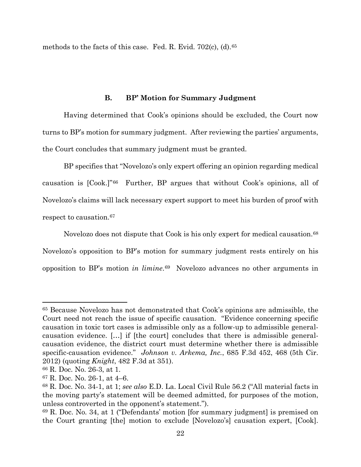methods to the facts of this case. Fed. R. Evid. 702(c), (d).65

# **B. BP' Motion for Summary Judgment**

Having determined that Cook's opinions should be excluded, the Court now turns to BP's motion for summary judgment. After reviewing the parties' arguments, the Court concludes that summary judgment must be granted.

BP specifies that "Novelozo's only expert offering an opinion regarding medical causation is [Cook.]"66 Further, BP argues that without Cook's opinions, all of Novelozo's claims will lack necessary expert support to meet his burden of proof with respect to causation.67

Novelozo does not dispute that Cook is his only expert for medical causation.<sup>68</sup> Novelozo's opposition to BP's motion for summary judgment rests entirely on his opposition to BP's motion *in limine*.69 Novelozo advances no other arguments in

<sup>65</sup> Because Novelozo has not demonstrated that Cook's opinions are admissible, the Court need not reach the issue of specific causation. "Evidence concerning specific causation in toxic tort cases is admissible only as a follow-up to admissible generalcausation evidence. […] if [the court] concludes that there is admissible generalcausation evidence, the district court must determine whether there is admissible specific-causation evidence." *Johnson v. Arkema, Inc.*, 685 F.3d 452, 468 (5th Cir. 2012) (quoting *Knight*, 482 F.3d at 351).

<sup>66</sup> R. Doc. No. 26-3, at 1.

<sup>67</sup> R. Doc. No. 26-1, at 4–6.

<sup>68</sup> R. Doc. No. 34-1, at 1; *see also* E.D. La. Local Civil Rule 56.2 ("All material facts in the moving party's statement will be deemed admitted, for purposes of the motion, unless controverted in the opponent's statement.").

<sup>69</sup> R. Doc. No. 34, at 1 ("Defendants' motion [for summary judgment] is premised on the Court granting [the] motion to exclude [Novelozo's] causation expert, [Cook].